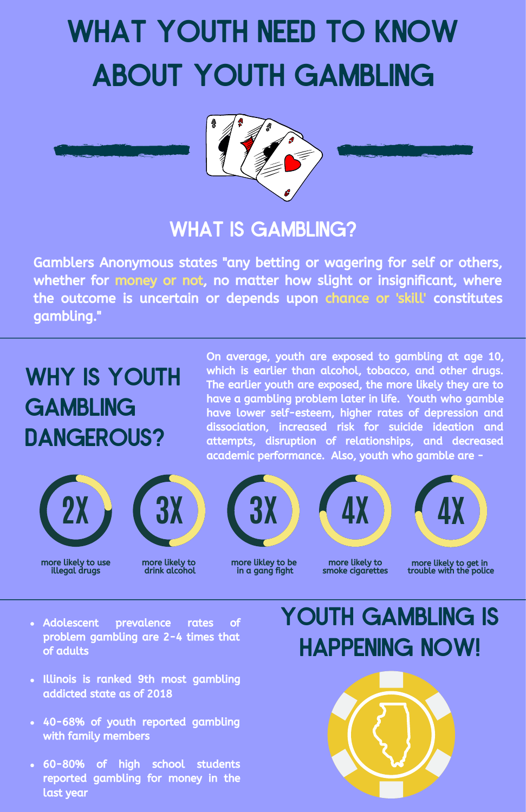# WHAT YOUTH NEED TO KNOW ABOUT YOUTH GAMBLING



### WHAT IS GAMBLING?

Gamblers Anonymous states "any betting or wagering for self or others, whether for money or not, no matter how slight or insignificant, where the outcome is uncertain or depends upon chance or 'skill' constitutes gambling."

# WHY IS YOUTH **GAMBLING** DANGEROUS?

On average, youth are exposed to gambling at age 10, which is earlier than alcohol, tobacco, and other drugs. The earlier youth are exposed, the more likely they are to have a gambling problem later in life. Youth who gamble have lower self-esteem, higher rates of depression and dissociation, increased risk for suicide ideation and attempts, disruption of relationships, and decreased academic performance. Also, youth who gamble are -





more likely to use illegal drugs

more likely to drink alcohol



### more likley to be in a gang fight



**4X**

more likely to smoke cigarettes

more likely to get in trouble with the police

- Adolescent prevalence rates of problem gambling are 2-4 times that of adults
- Illinois is ranked 9th most gambling addicted state as of 2018
- 40-68% of youth reported gambling with family members
- 60-80% of high school students reported gambling for money in the last year

# YOUTH GAMBLING IS HAPPENING NOW!